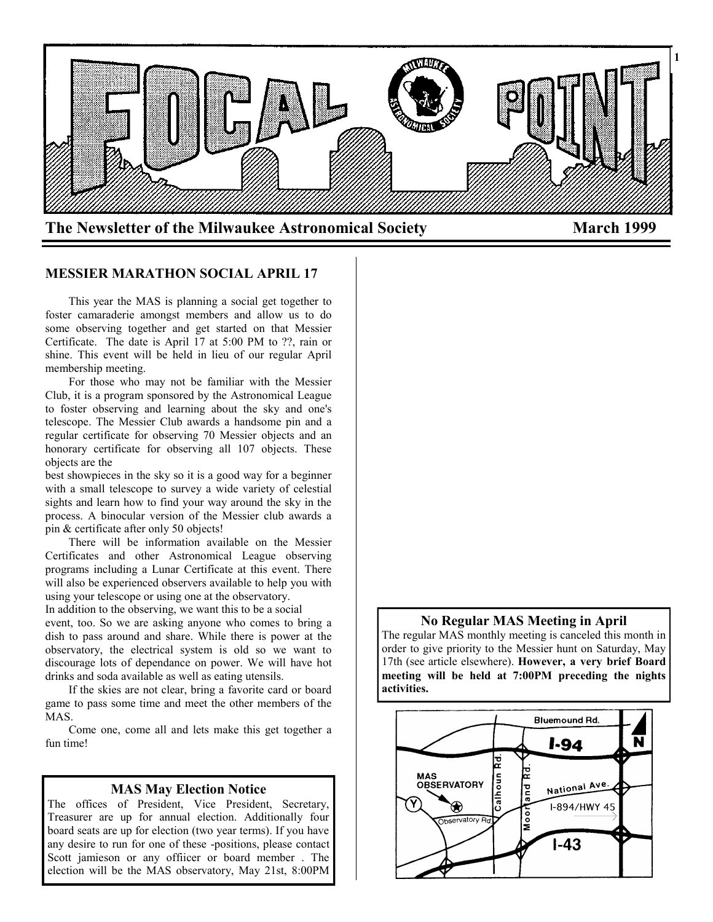

#### **MESSIER MARATHON SOCIAL APRIL 17**

 This year the MAS is planning a social get together to foster camaraderie amongst members and allow us to do some observing together and get started on that Messier Certificate. The date is April 17 at 5:00 PM to ??, rain or shine. This event will be held in lieu of our regular April membership meeting.

 For those who may not be familiar with the Messier Club, it is a program sponsored by the Astronomical League to foster observing and learning about the sky and one's telescope. The Messier Club awards a handsome pin and a regular certificate for observing 70 Messier objects and an honorary certificate for observing all 107 objects. These objects are the

best showpieces in the sky so it is a good way for a beginner with a small telescope to survey a wide variety of celestial sights and learn how to find your way around the sky in the process. A binocular version of the Messier club awards a pin & certificate after only 50 objects!

 There will be information available on the Messier Certificates and other Astronomical League observing programs including a Lunar Certificate at this event. There will also be experienced observers available to help you with using your telescope or using one at the observatory.

In addition to the observing, we want this to be a social event, too. So we are asking anyone who comes to bring a dish to pass around and share. While there is power at the observatory, the electrical system is old so we want to discourage lots of dependance on power. We will have hot drinks and soda available as well as eating utensils.

 If the skies are not clear, bring a favorite card or board game to pass some time and meet the other members of the MAS.

 Come one, come all and lets make this get together a fun time!

#### **MAS May Election Notice**

The offices of President, Vice President, Secretary, Treasurer are up for annual election. Additionally four board seats are up for election (two year terms). If you have any desire to run for one of these -positions, please contact Scott jamieson or any offiicer or board member . The election will be the MAS observatory, May 21st, 8:00PM

#### **No Regular MAS Meeting in April**

The regular MAS monthly meeting is canceled this month in order to give priority to the Messier hunt on Saturday, May 17th (see article elsewhere). **However, a very brief Board meeting will be held at 7:00PM preceding the nights activities.**

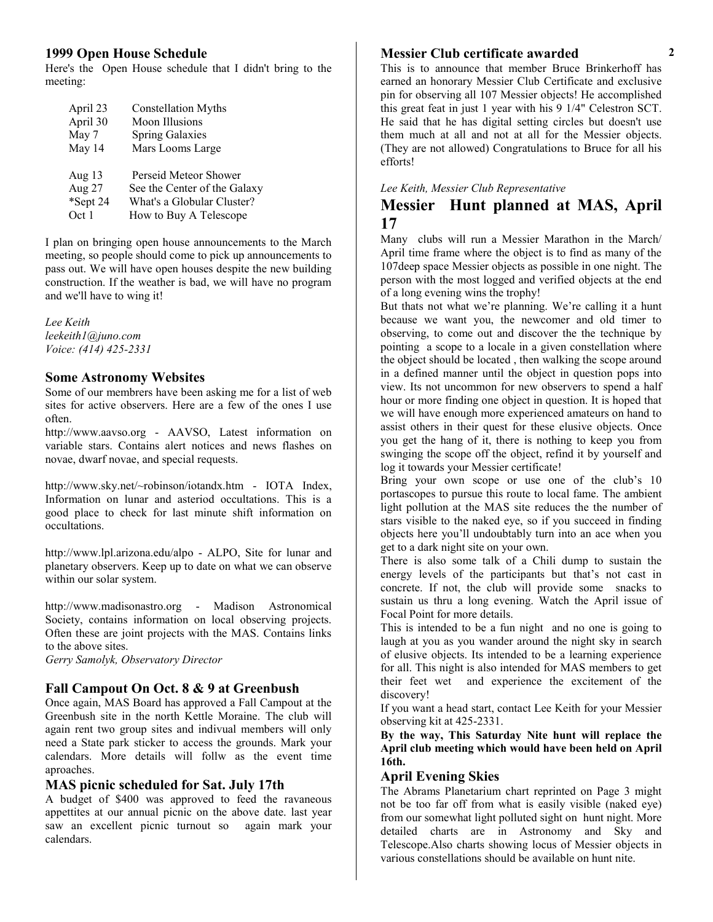#### **1999 Open House Schedule**

Here's the Open House schedule that I didn't bring to the meeting:

| April 23 | <b>Constellation Myths</b>   |
|----------|------------------------------|
| April 30 | Moon Illusions               |
| May 7    | <b>Spring Galaxies</b>       |
| May 14   | Mars Looms Large             |
|          |                              |
| Aug 13   | Perseid Meteor Shower        |
| Aug 27   | See the Center of the Galaxy |
| *Sept 24 | What's a Globular Cluster?   |
| Oct 1    | How to Buy A Telescope       |

I plan on bringing open house announcements to the March meeting, so people should come to pick up announcements to pass out. We will have open houses despite the new building construction. If the weather is bad, we will have no program and we'll have to wing it!

*Lee Keith leekeith1@juno.com Voice: (414) 425-2331*

#### **Some Astronomy Websites**

Some of our membrers have been asking me for a list of web sites for active observers. Here are a few of the ones I use often.

http://www.aavso.org - AAVSO, Latest information on variable stars. Contains alert notices and news flashes on novae, dwarf novae, and special requests.

http://www.sky.net/~robinson/iotandx.htm - IOTA Index, Information on lunar and asteriod occultations. This is a good place to check for last minute shift information on occultations.

http://www.lpl.arizona.edu/alpo - ALPO, Site for lunar and planetary observers. Keep up to date on what we can observe within our solar system.

http://www.madisonastro.org - Madison Astronomical Society, contains information on local observing projects. Often these are joint projects with the MAS. Contains links to the above sites.

*Gerry Samolyk, Observatory Director*

#### **Fall Campout On Oct. 8 & 9 at Greenbush**

Once again, MAS Board has approved a Fall Campout at the Greenbush site in the north Kettle Moraine. The club will again rent two group sites and indivual members will only need a State park sticker to access the grounds. Mark your calendars. More details will follw as the event time aproaches.

#### **MAS picnic scheduled for Sat. July 17th**

A budget of \$400 was approved to feed the ravaneous appettites at our annual picnic on the above date. last year saw an excellent picnic turnout so again mark your calendars.

## **Messier Club certificate awarded 2**

This is to announce that member Bruce Brinkerhoff has earned an honorary Messier Club Certificate and exclusive pin for observing all 107 Messier objects! He accomplished this great feat in just 1 year with his 9 1/4" Celestron SCT. He said that he has digital setting circles but doesn't use them much at all and not at all for the Messier objects. (They are not allowed) Congratulations to Bruce for all his efforts!

#### *Lee Keith, Messier Club Representative*

# **Messier Hunt planned at MAS, April 17**

Many clubs will run a Messier Marathon in the March/ April time frame where the object is to find as many of the 107deep space Messier objects as possible in one night. The person with the most logged and verified objects at the end of a long evening wins the trophy!

But thats not what we're planning. We're calling it a hunt because we want you, the newcomer and old timer to observing, to come out and discover the the technique by pointing a scope to a locale in a given constellation where the object should be located , then walking the scope around in a defined manner until the object in question pops into view. Its not uncommon for new observers to spend a half hour or more finding one object in question. It is hoped that we will have enough more experienced amateurs on hand to assist others in their quest for these elusive objects. Once you get the hang of it, there is nothing to keep you from swinging the scope off the object, refind it by yourself and log it towards your Messier certificate!

Bring your own scope or use one of the club's 10 portascopes to pursue this route to local fame. The ambient light pollution at the MAS site reduces the the number of stars visible to the naked eye, so if you succeed in finding objects here you'll undoubtably turn into an ace when you get to a dark night site on your own.

There is also some talk of a Chili dump to sustain the energy levels of the participants but that's not cast in concrete. If not, the club will provide some snacks to sustain us thru a long evening. Watch the April issue of Focal Point for more details.

This is intended to be a fun night and no one is going to laugh at you as you wander around the night sky in search of elusive objects. Its intended to be a learning experience for all. This night is also intended for MAS members to get their feet wet and experience the excitement of the discovery!

If you want a head start, contact Lee Keith for your Messier observing kit at 425-2331.

**By the way, This Saturday Nite hunt will replace the April club meeting which would have been held on April 16th.**

#### **April Evening Skies**

The Abrams Planetarium chart reprinted on Page 3 might not be too far off from what is easily visible (naked eye) from our somewhat light polluted sight on hunt night. More detailed charts are in Astronomy and Sky and Telescope.Also charts showing locus of Messier objects in various constellations should be available on hunt nite.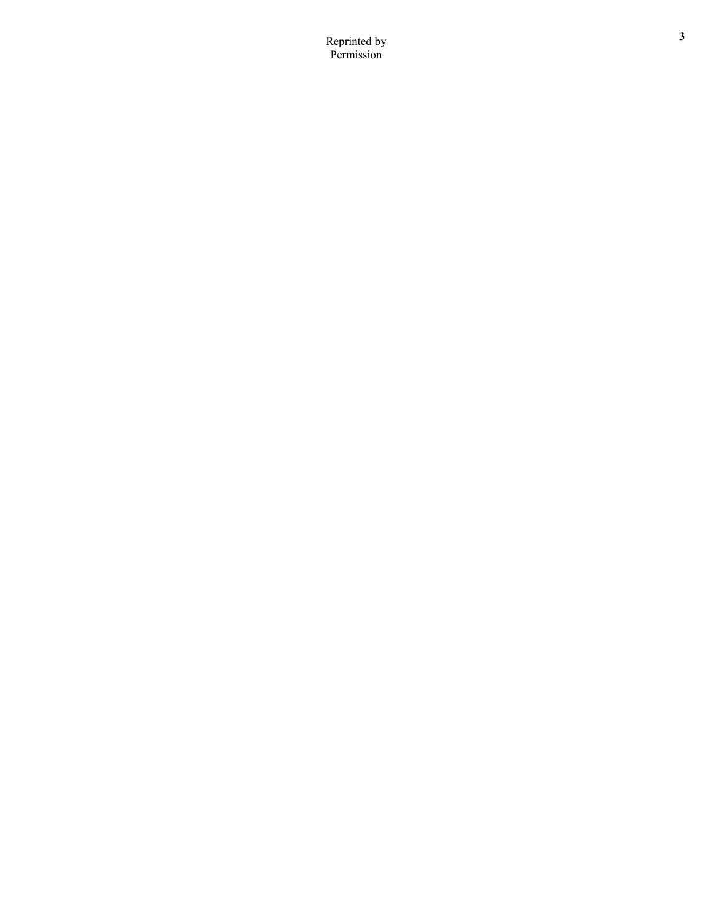**<sup>3</sup>** Reprinted by Permission